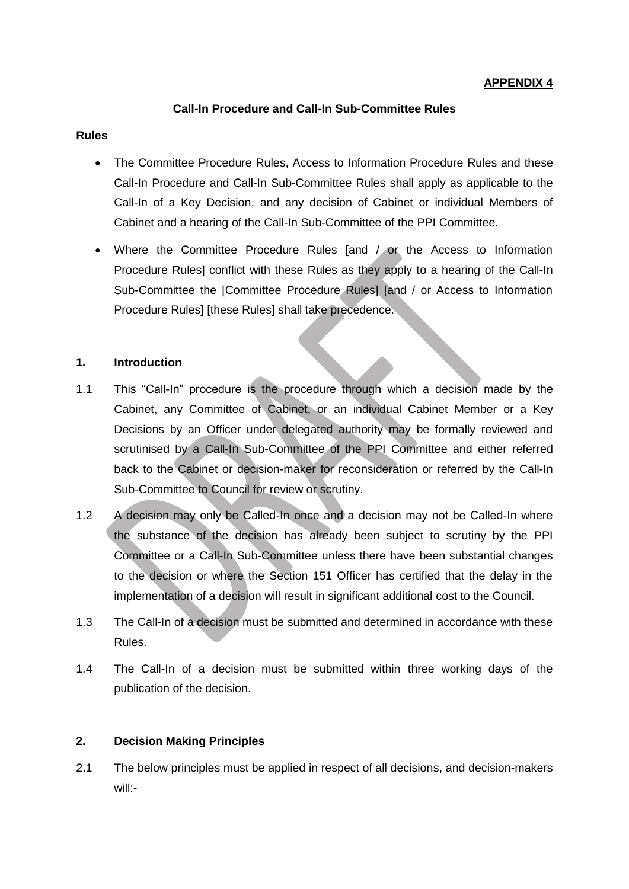## **APPENDIX 4**

### **Call-In Procedure and Call-In Sub-Committee Rules**

#### **Rules**

- The Committee Procedure Rules, Access to Information Procedure Rules and these Call-In Procedure and Call-In Sub-Committee Rules shall apply as applicable to the Call-In of a Key Decision, and any decision of Cabinet or individual Members of Cabinet and a hearing of the Call-In Sub-Committee of the PPI Committee.
- Where the Committee Procedure Rules [and / or the Access to Information Procedure Rules] conflict with these Rules as they apply to a hearing of the Call-In Sub-Committee the [Committee Procedure Rules] [and / or Access to Information Procedure Rules] [these Rules] shall take precedence.

#### **1. Introduction**

- 1.1 This "Call-In" procedure is the procedure through which a decision made by the Cabinet, any Committee of Cabinet, or an individual Cabinet Member or a Key Decisions by an Officer under delegated authority may be formally reviewed and scrutinised by a Call-In Sub-Committee of the PPI Committee and either referred back to the Cabinet or decision-maker for reconsideration or referred by the Call-In Sub-Committee to Council for review or scrutiny.
- 1.2 A decision may only be Called-In once and a decision may not be Called-In where the substance of the decision has already been subject to scrutiny by the PPI Committee or a Call-In Sub-Committee unless there have been substantial changes to the decision or where the Section 151 Officer has certified that the delay in the implementation of a decision will result in significant additional cost to the Council.
- 1.3 The Call-In of a decision must be submitted and determined in accordance with these Rules.
- 1.4 The Call-In of a decision must be submitted within three working days of the publication of the decision.

#### **2. Decision Making Principles**

2.1 The below principles must be applied in respect of all decisions, and decision-makers will:-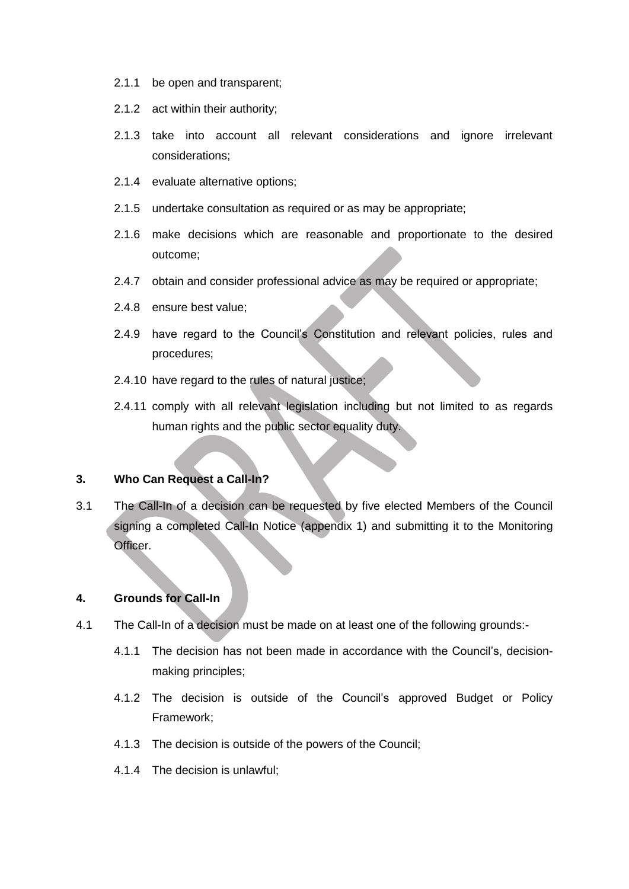- 2.1.1 be open and transparent;
- 2.1.2 act within their authority;
- 2.1.3 take into account all relevant considerations and ignore irrelevant considerations;
- 2.1.4 evaluate alternative options;
- 2.1.5 undertake consultation as required or as may be appropriate;
- 2.1.6 make decisions which are reasonable and proportionate to the desired outcome;
- 2.4.7 obtain and consider professional advice as may be required or appropriate;
- 2.4.8 ensure best value;
- 2.4.9 have regard to the Council's Constitution and relevant policies, rules and procedures;
- 2.4.10 have regard to the rules of natural justice;
- 2.4.11 comply with all relevant legislation including but not limited to as regards human rights and the public sector equality duty.

## **3. Who Can Request a Call-In?**

3.1 The Call-In of a decision can be requested by five elected Members of the Council signing a completed Call-In Notice (appendix 1) and submitting it to the Monitoring Officer.

#### **4. Grounds for Call-In**

- 4.1 The Call-In of a decision must be made on at least one of the following grounds:-
	- 4.1.1 The decision has not been made in accordance with the Council's, decisionmaking principles;
	- 4.1.2 The decision is outside of the Council's approved Budget or Policy Framework;
	- 4.1.3 The decision is outside of the powers of the Council;
	- 4.1.4 The decision is unlawful;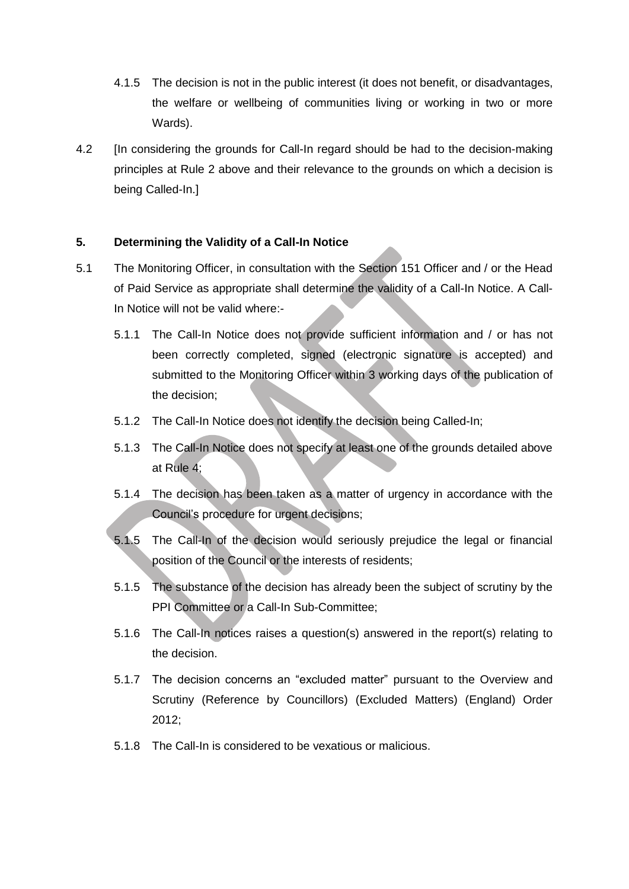- 4.1.5 The decision is not in the public interest (it does not benefit, or disadvantages, the welfare or wellbeing of communities living or working in two or more Wards).
- 4.2 [In considering the grounds for Call-In regard should be had to the decision-making principles at Rule 2 above and their relevance to the grounds on which a decision is being Called-In.]

## **5. Determining the Validity of a Call-In Notice**

- 5.1 The Monitoring Officer, in consultation with the Section 151 Officer and / or the Head of Paid Service as appropriate shall determine the validity of a Call-In Notice. A Call-In Notice will not be valid where:-
	- 5.1.1 The Call-In Notice does not provide sufficient information and / or has not been correctly completed, signed (electronic signature is accepted) and submitted to the Monitoring Officer within 3 working days of the publication of the decision;
	- 5.1.2 The Call-In Notice does not identify the decision being Called-In;
	- 5.1.3 The Call-In Notice does not specify at least one of the grounds detailed above at Rule 4;
	- 5.1.4 The decision has been taken as a matter of urgency in accordance with the Council's procedure for urgent decisions;
	- 5.1.5 The Call-In of the decision would seriously prejudice the legal or financial position of the Council or the interests of residents;
	- 5.1.5 The substance of the decision has already been the subject of scrutiny by the PPI Committee or a Call-In Sub-Committee;
	- 5.1.6 The Call-In notices raises a question(s) answered in the report(s) relating to the decision.
	- 5.1.7 The decision concerns an "excluded matter" pursuant to the Overview and Scrutiny (Reference by Councillors) (Excluded Matters) (England) Order 2012;
	- 5.1.8 The Call-In is considered to be vexatious or malicious.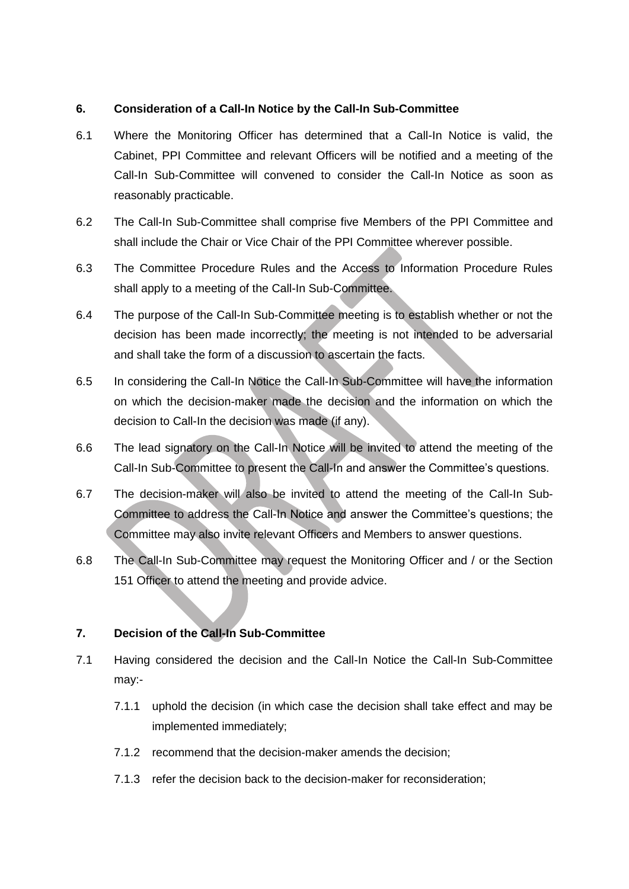## **6. Consideration of a Call-In Notice by the Call-In Sub-Committee**

- 6.1 Where the Monitoring Officer has determined that a Call-In Notice is valid, the Cabinet, PPI Committee and relevant Officers will be notified and a meeting of the Call-In Sub-Committee will convened to consider the Call-In Notice as soon as reasonably practicable.
- 6.2 The Call-In Sub-Committee shall comprise five Members of the PPI Committee and shall include the Chair or Vice Chair of the PPI Committee wherever possible.
- 6.3 The Committee Procedure Rules and the Access to Information Procedure Rules shall apply to a meeting of the Call-In Sub-Committee.
- 6.4 The purpose of the Call-In Sub-Committee meeting is to establish whether or not the decision has been made incorrectly; the meeting is not intended to be adversarial and shall take the form of a discussion to ascertain the facts.
- 6.5 In considering the Call-In Notice the Call-In Sub-Committee will have the information on which the decision-maker made the decision and the information on which the decision to Call-In the decision was made (if any).
- 6.6 The lead signatory on the Call-In Notice will be invited to attend the meeting of the Call-In Sub-Committee to present the Call-In and answer the Committee's questions.
- 6.7 The decision-maker will also be invited to attend the meeting of the Call-In Sub-Committee to address the Call-In Notice and answer the Committee's questions; the Committee may also invite relevant Officers and Members to answer questions.
- 6.8 The Call-In Sub-Committee may request the Monitoring Officer and / or the Section 151 Officer to attend the meeting and provide advice.

## **7. Decision of the Call-In Sub-Committee**

- 7.1 Having considered the decision and the Call-In Notice the Call-In Sub-Committee may:-
	- 7.1.1 uphold the decision (in which case the decision shall take effect and may be implemented immediately;
	- 7.1.2 recommend that the decision-maker amends the decision;
	- 7.1.3 refer the decision back to the decision-maker for reconsideration;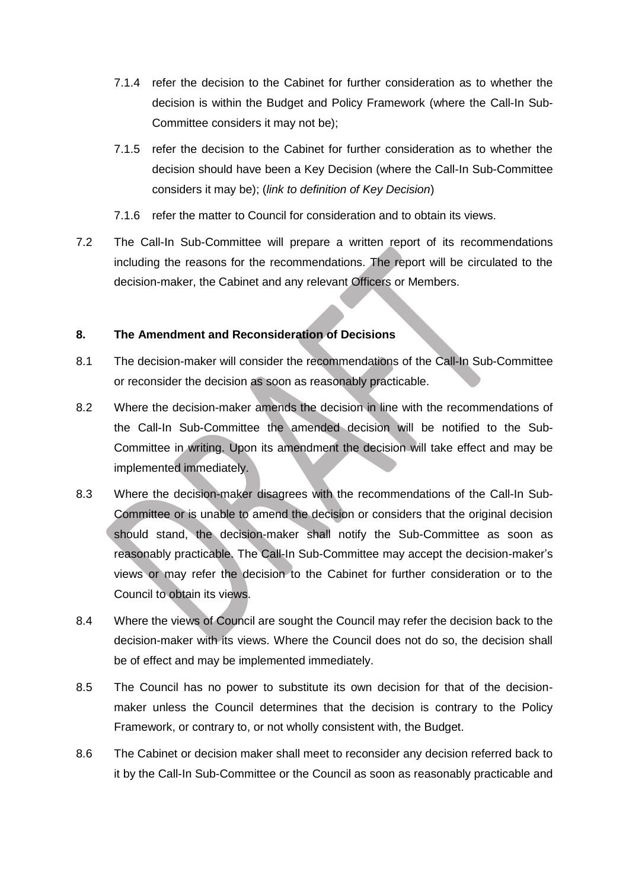- 7.1.4 refer the decision to the Cabinet for further consideration as to whether the decision is within the Budget and Policy Framework (where the Call-In Sub-Committee considers it may not be);
- 7.1.5 refer the decision to the Cabinet for further consideration as to whether the decision should have been a Key Decision (where the Call-In Sub-Committee considers it may be); (*link to definition of Key Decision*)
- 7.1.6 refer the matter to Council for consideration and to obtain its views.
- 7.2 The Call-In Sub-Committee will prepare a written report of its recommendations including the reasons for the recommendations. The report will be circulated to the decision-maker, the Cabinet and any relevant Officers or Members.

## **8. The Amendment and Reconsideration of Decisions**

- 8.1 The decision-maker will consider the recommendations of the Call-In Sub-Committee or reconsider the decision as soon as reasonably practicable.
- 8.2 Where the decision-maker amends the decision in line with the recommendations of the Call-In Sub-Committee the amended decision will be notified to the Sub-Committee in writing. Upon its amendment the decision will take effect and may be implemented immediately.
- 8.3 Where the decision-maker disagrees with the recommendations of the Call-In Sub-Committee or is unable to amend the decision or considers that the original decision should stand, the decision-maker shall notify the Sub-Committee as soon as reasonably practicable. The Call-In Sub-Committee may accept the decision-maker's views or may refer the decision to the Cabinet for further consideration or to the Council to obtain its views.
- 8.4 Where the views of Council are sought the Council may refer the decision back to the decision-maker with its views. Where the Council does not do so, the decision shall be of effect and may be implemented immediately.
- 8.5 The Council has no power to substitute its own decision for that of the decisionmaker unless the Council determines that the decision is contrary to the Policy Framework, or contrary to, or not wholly consistent with, the Budget.
- 8.6 The Cabinet or decision maker shall meet to reconsider any decision referred back to it by the Call-In Sub-Committee or the Council as soon as reasonably practicable and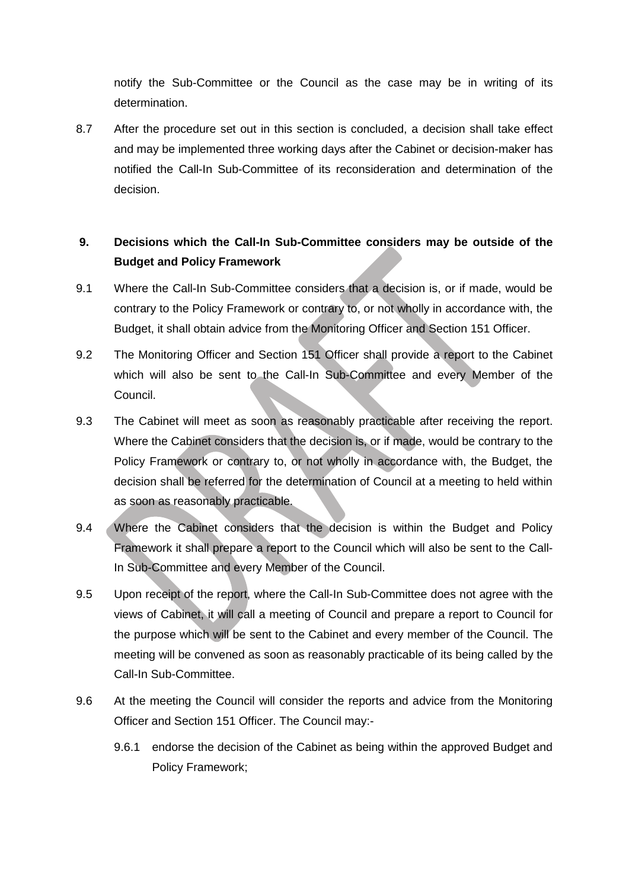notify the Sub-Committee or the Council as the case may be in writing of its determination.

8.7 After the procedure set out in this section is concluded, a decision shall take effect and may be implemented three working days after the Cabinet or decision-maker has notified the Call-In Sub-Committee of its reconsideration and determination of the decision.

# **9. Decisions which the Call-In Sub-Committee considers may be outside of the Budget and Policy Framework**

- 9.1 Where the Call-In Sub-Committee considers that a decision is, or if made, would be contrary to the Policy Framework or contrary to, or not wholly in accordance with, the Budget, it shall obtain advice from the Monitoring Officer and Section 151 Officer.
- 9.2 The Monitoring Officer and Section 151 Officer shall provide a report to the Cabinet which will also be sent to the Call-In Sub-Committee and every Member of the Council.
- 9.3 The Cabinet will meet as soon as reasonably practicable after receiving the report. Where the Cabinet considers that the decision is, or if made, would be contrary to the Policy Framework or contrary to, or not wholly in accordance with, the Budget, the decision shall be referred for the determination of Council at a meeting to held within as soon as reasonably practicable.
- 9.4 Where the Cabinet considers that the decision is within the Budget and Policy Framework it shall prepare a report to the Council which will also be sent to the Call-In Sub-Committee and every Member of the Council.
- 9.5 Upon receipt of the report, where the Call-In Sub-Committee does not agree with the views of Cabinet, it will call a meeting of Council and prepare a report to Council for the purpose which will be sent to the Cabinet and every member of the Council. The meeting will be convened as soon as reasonably practicable of its being called by the Call-In Sub-Committee.
- 9.6 At the meeting the Council will consider the reports and advice from the Monitoring Officer and Section 151 Officer. The Council may:-
	- 9.6.1 endorse the decision of the Cabinet as being within the approved Budget and Policy Framework;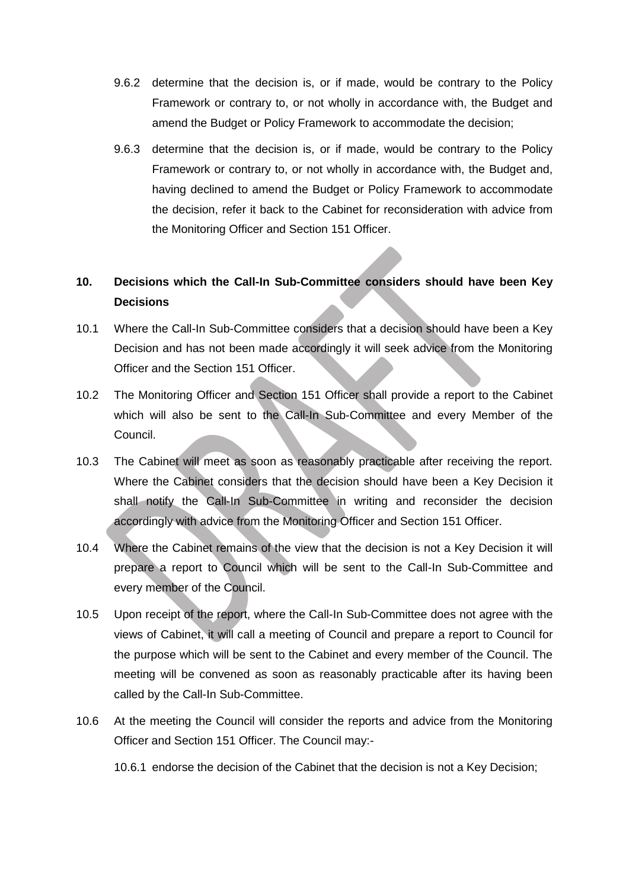- 9.6.2 determine that the decision is, or if made, would be contrary to the Policy Framework or contrary to, or not wholly in accordance with, the Budget and amend the Budget or Policy Framework to accommodate the decision;
- 9.6.3 determine that the decision is, or if made, would be contrary to the Policy Framework or contrary to, or not wholly in accordance with, the Budget and, having declined to amend the Budget or Policy Framework to accommodate the decision, refer it back to the Cabinet for reconsideration with advice from the Monitoring Officer and Section 151 Officer.

# **10. Decisions which the Call-In Sub-Committee considers should have been Key Decisions**

- 10.1 Where the Call-In Sub-Committee considers that a decision should have been a Key Decision and has not been made accordingly it will seek advice from the Monitoring Officer and the Section 151 Officer.
- 10.2 The Monitoring Officer and Section 151 Officer shall provide a report to the Cabinet which will also be sent to the Call-In Sub-Committee and every Member of the Council.
- 10.3 The Cabinet will meet as soon as reasonably practicable after receiving the report. Where the Cabinet considers that the decision should have been a Key Decision it shall notify the Call-In Sub-Committee in writing and reconsider the decision accordingly with advice from the Monitoring Officer and Section 151 Officer.
- 10.4 Where the Cabinet remains of the view that the decision is not a Key Decision it will prepare a report to Council which will be sent to the Call-In Sub-Committee and every member of the Council.
- 10.5 Upon receipt of the report, where the Call-In Sub-Committee does not agree with the views of Cabinet, it will call a meeting of Council and prepare a report to Council for the purpose which will be sent to the Cabinet and every member of the Council. The meeting will be convened as soon as reasonably practicable after its having been called by the Call-In Sub-Committee.
- 10.6 At the meeting the Council will consider the reports and advice from the Monitoring Officer and Section 151 Officer. The Council may:-

10.6.1 endorse the decision of the Cabinet that the decision is not a Key Decision;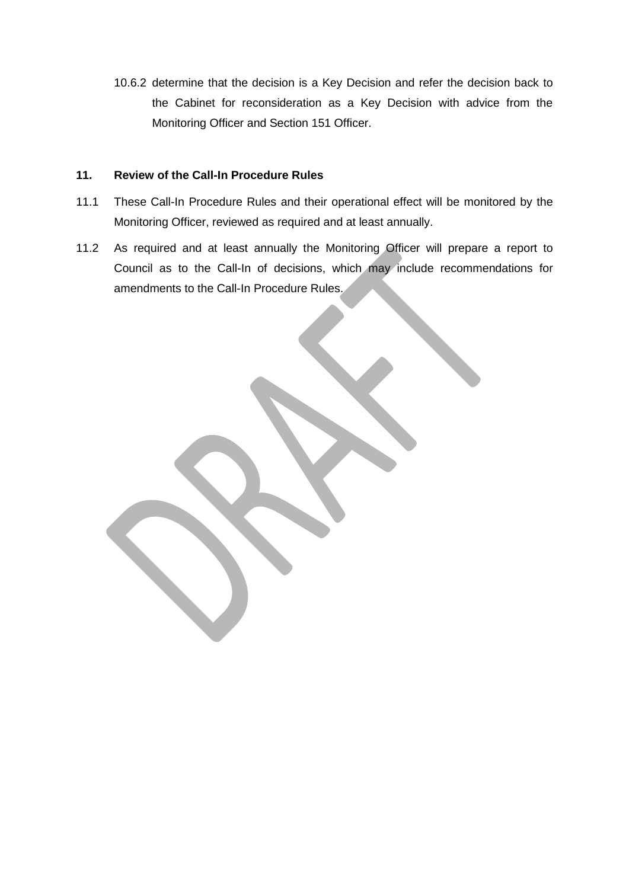10.6.2 determine that the decision is a Key Decision and refer the decision back to the Cabinet for reconsideration as a Key Decision with advice from the Monitoring Officer and Section 151 Officer.

#### **11. Review of the Call-In Procedure Rules**

- 11.1 These Call-In Procedure Rules and their operational effect will be monitored by the Monitoring Officer, reviewed as required and at least annually.
- 11.2 As required and at least annually the Monitoring Officer will prepare a report to Council as to the Call-In of decisions, which may include recommendations for amendments to the Call-In Procedure Rules.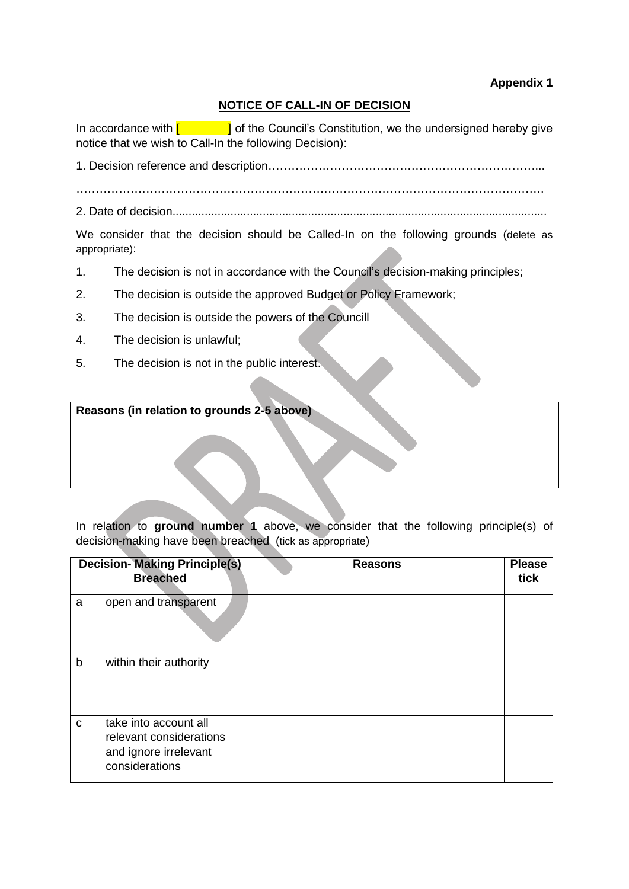## **Appendix 1**

## **NOTICE OF CALL-IN OF DECISION**

In accordance with  $\begin{bmatrix} 1 & 1 \\ 1 & 1 \end{bmatrix}$  of the Council's Constitution, we the undersigned hereby give notice that we wish to Call-In the following Decision):

1. Decision reference and description……………………………………………………………...

………………………………………………………………………………………………………….

2. Date of decision....................................................................................................................

We consider that the decision should be Called-In on the following grounds (delete as appropriate):

- 1. The decision is not in accordance with the Council's decision-making principles;
- 2. The decision is outside the approved Budget or Policy Framework;
- 3. The decision is outside the powers of the Councill
- 4. The decision is unlawful;
- 5. The decision is not in the public interest.

**Reasons (in relation to grounds 2-5 above)**

In relation to **ground number 1** above, we consider that the following principle(s) of decision-making have been breached (tick as appropriate)

| <b>Decision- Making Principle(s)</b><br><b>Breached</b> |                                                                                             | <b>Reasons</b> | <b>Please</b><br>tick |
|---------------------------------------------------------|---------------------------------------------------------------------------------------------|----------------|-----------------------|
| a                                                       | open and transparent                                                                        |                |                       |
| $\mathsf b$                                             | within their authority                                                                      |                |                       |
| $\mathbf C$                                             | take into account all<br>relevant considerations<br>and ignore irrelevant<br>considerations |                |                       |